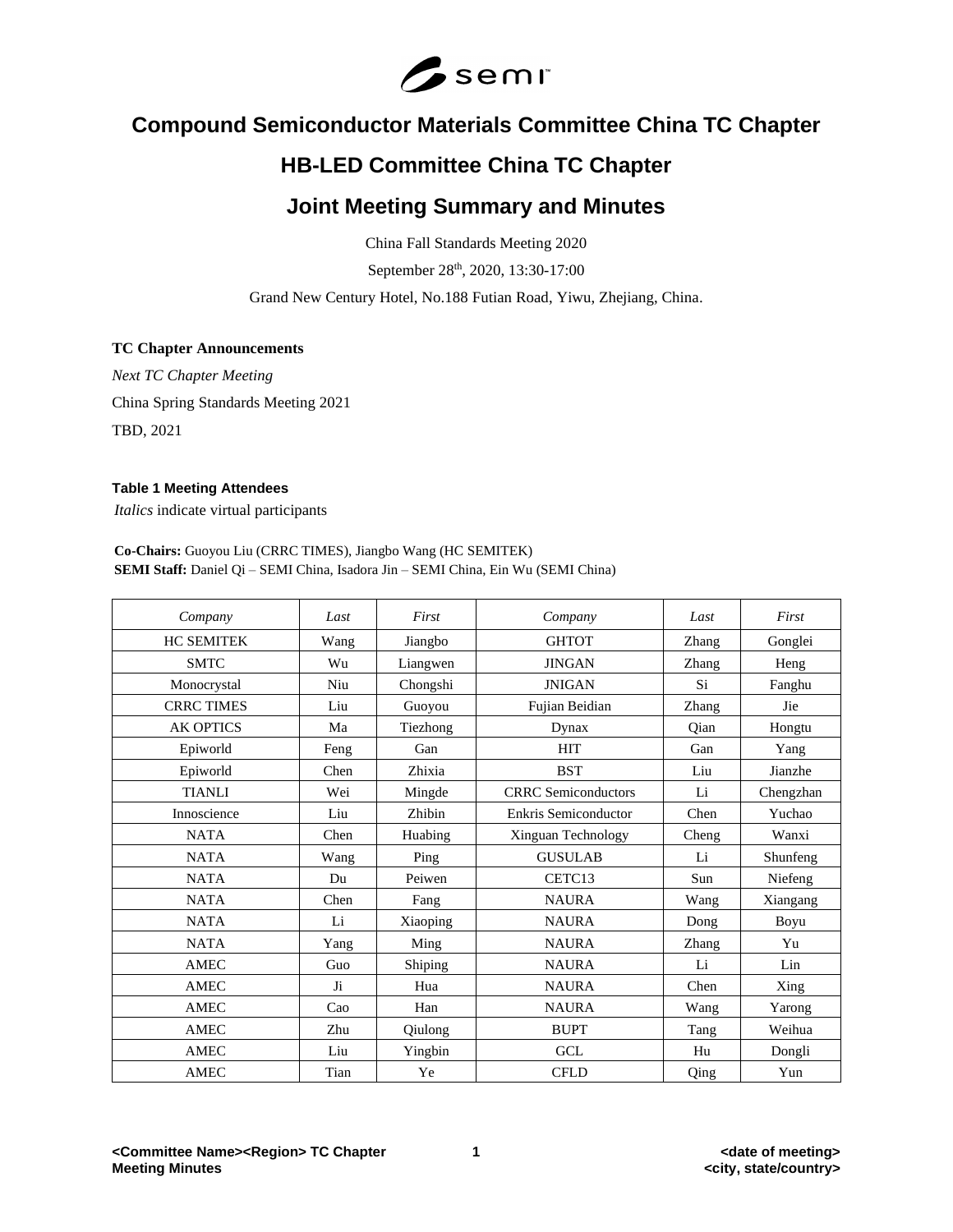

# **Compound Semiconductor Materials Committee China TC Chapter**

# **HB-LED Committee China TC Chapter**

# **Joint Meeting Summary and Minutes**

China Fall Standards Meeting 2020

September 28<sup>th</sup>, 2020, 13:30-17:00

Grand New Century Hotel, No.188 Futian Road, Yiwu, Zhejiang, China.

# **TC Chapter Announcements**

*Next TC Chapter Meeting* China Spring Standards Meeting 2021 TBD, 2021

# **Table 1 Meeting Attendees**

*Italics* indicate virtual participants

**Co-Chairs:** Guoyou Liu (CRRC TIMES), Jiangbo Wang (HC SEMITEK) **SEMI Staff:** Daniel Qi – SEMI China, Isadora Jin – SEMI China, Ein Wu (SEMI China)

| Company           | Last | First    | Company                     | Last  | First     |
|-------------------|------|----------|-----------------------------|-------|-----------|
| <b>HC SEMITEK</b> | Wang | Jiangbo  | <b>GHTOT</b>                | Zhang | Gonglei   |
| <b>SMTC</b>       | Wu   | Liangwen | <b>JINGAN</b>               | Zhang | Heng      |
| Monocrystal       | Niu  | Chongshi | <b>JNIGAN</b>               | Si    | Fanghu    |
| <b>CRRC TIMES</b> | Liu  | Guoyou   | Fujian Beidian              | Zhang | Jie       |
| <b>AK OPTICS</b>  | Ma   | Tiezhong | Dynax                       | Oian  | Hongtu    |
| Epiworld          | Feng | Gan      | <b>HIT</b>                  | Gan   | Yang      |
| Epiworld          | Chen | Zhixia   | <b>BST</b>                  | Liu   | Jianzhe   |
| <b>TIANLI</b>     | Wei  | Mingde   | <b>CRRC</b> Semiconductors  | Li    | Chengzhan |
| Innoscience       | Liu  | Zhibin   | <b>Enkris Semiconductor</b> | Chen  | Yuchao    |
| <b>NATA</b>       | Chen | Huabing  | Xinguan Technology          | Cheng | Wanxi     |
| <b>NATA</b>       | Wang | Ping     | <b>GUSULAB</b>              | Li    | Shunfeng  |
| <b>NATA</b>       | Du   | Peiwen   | CETC13                      | Sun   | Niefeng   |
| <b>NATA</b>       | Chen | Fang     | <b>NAURA</b>                | Wang  | Xiangang  |
| <b>NATA</b>       | Li   | Xiaoping | <b>NAURA</b>                | Dong  | Boyu      |
| <b>NATA</b>       | Yang | Ming     | <b>NAURA</b>                | Zhang | Yu        |
| <b>AMEC</b>       | Guo  | Shiping  | <b>NAURA</b>                | Li    | Lin       |
| <b>AMEC</b>       | Ji   | Hua      | <b>NAURA</b>                | Chen  | Xing      |
| <b>AMEC</b>       | Cao  | Han      | <b>NAURA</b>                | Wang  | Yarong    |
| <b>AMEC</b>       | Zhu  | Qiulong  | <b>BUPT</b>                 | Tang  | Weihua    |
| <b>AMEC</b>       | Liu  | Yingbin  | <b>GCL</b>                  | Hu    | Dongli    |
| <b>AMEC</b>       | Tian | Ye       | <b>CFLD</b>                 | Qing  | Yun       |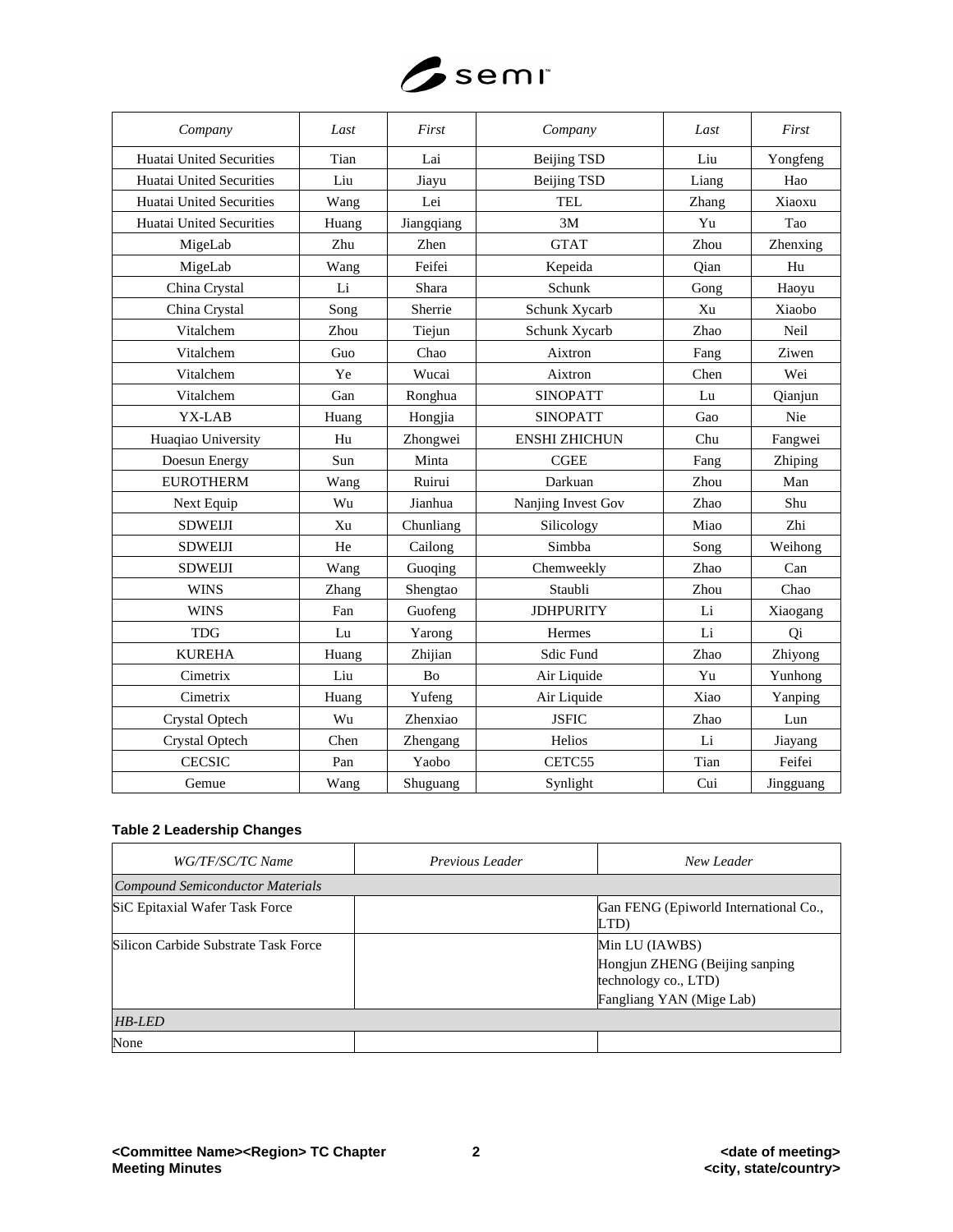

| Company                  | Last  | First      | Company              | Last  | First     |
|--------------------------|-------|------------|----------------------|-------|-----------|
| Huatai United Securities | Tian  | Lai        | <b>Beijing TSD</b>   | Liu   | Yongfeng  |
| Huatai United Securities | Liu   | Jiayu      | <b>Beijing TSD</b>   | Liang | Hao       |
| Huatai United Securities | Wang  | Lei        | TEL.                 | Zhang | Xiaoxu    |
| Huatai United Securities | Huang | Jiangqiang | 3M                   | Yu    | Tao       |
| MigeLab                  | Zhu   | Zhen       | <b>GTAT</b>          | Zhou  | Zhenxing  |
| MigeLab                  | Wang  | Feifei     | Kepeida              | Oian  | Hu        |
| China Crystal            | Li    | Shara      | Schunk               | Gong  | Haoyu     |
| China Crystal            | Song  | Sherrie    | Schunk Xycarb        | Xu    | Xiaobo    |
| Vitalchem                | Zhou  | Tiejun     | Schunk Xycarb        | Zhao  | Neil      |
| Vitalchem                | Guo   | Chao       | Aixtron              | Fang  | Ziwen     |
| Vitalchem                | Ye    | Wucai      | Aixtron              | Chen  | Wei       |
| Vitalchem                | Gan   | Ronghua    | <b>SINOPATT</b>      | Lu    | Qianjun   |
| YX-LAB                   | Huang | Hongjia    | <b>SINOPATT</b>      | Gao   | Nie       |
| Huaqiao University       | Hu    | Zhongwei   | <b>ENSHI ZHICHUN</b> | Chu   | Fangwei   |
| Doesun Energy            | Sun   | Minta      | <b>CGEE</b>          | Fang  | Zhiping   |
| <b>EUROTHERM</b>         | Wang  | Ruirui     | Darkuan              | Zhou  | Man       |
| Next Equip               | Wu    | Jianhua    | Nanjing Invest Gov   | Zhao  | Shu       |
| <b>SDWEIJI</b>           | Xu    | Chunliang  | Silicology           | Miao  | Zhi       |
| <b>SDWEIJI</b>           | He    | Cailong    | Simbba               | Song  | Weihong   |
| <b>SDWEIJI</b>           | Wang  | Guoqing    | Chemweekly           | Zhao  | Can       |
| <b>WINS</b>              | Zhang | Shengtao   | Staubli              | Zhou  | Chao      |
| <b>WINS</b>              | Fan   | Guofeng    | <b>JDHPURITY</b>     | Li    | Xiaogang  |
| <b>TDG</b>               | Lu    | Yarong     | Hermes               | Li    | Qi        |
| <b>KUREHA</b>            | Huang | Zhijian    | Sdic Fund            | Zhao  | Zhiyong   |
| Cimetrix                 | Liu   | Bo         | Air Liquide          | Yu    | Yunhong   |
| Cimetrix                 | Huang | Yufeng     | Air Liquide          | Xiao  | Yanping   |
| Crystal Optech           | Wu    | Zhenxiao   | <b>JSFIC</b>         | Zhao  | Lun       |
| Crystal Optech           | Chen  | Zhengang   | Helios               | Li    | Jiayang   |
| <b>CECSIC</b>            | Pan   | Yaobo      | CETC55               | Tian  | Feifei    |
| Gemue                    | Wang  | Shuguang   | Synlight             | Cui   | Jingguang |

# **Table 2 Leadership Changes**

| WG/TF/SC/TC Name                     | Previous Leader | New Leader                                                                                           |
|--------------------------------------|-----------------|------------------------------------------------------------------------------------------------------|
| Compound Semiconductor Materials     |                 |                                                                                                      |
| SiC Epitaxial Wafer Task Force       |                 | Gan FENG (Epiworld International Co.,<br>LTD)                                                        |
| Silicon Carbide Substrate Task Force |                 | Min LU (IAWBS)<br>Hongjun ZHENG (Beijing sanping<br>technology co., LTD)<br>Fangliang YAN (Mige Lab) |
| HB-LED                               |                 |                                                                                                      |
| None                                 |                 |                                                                                                      |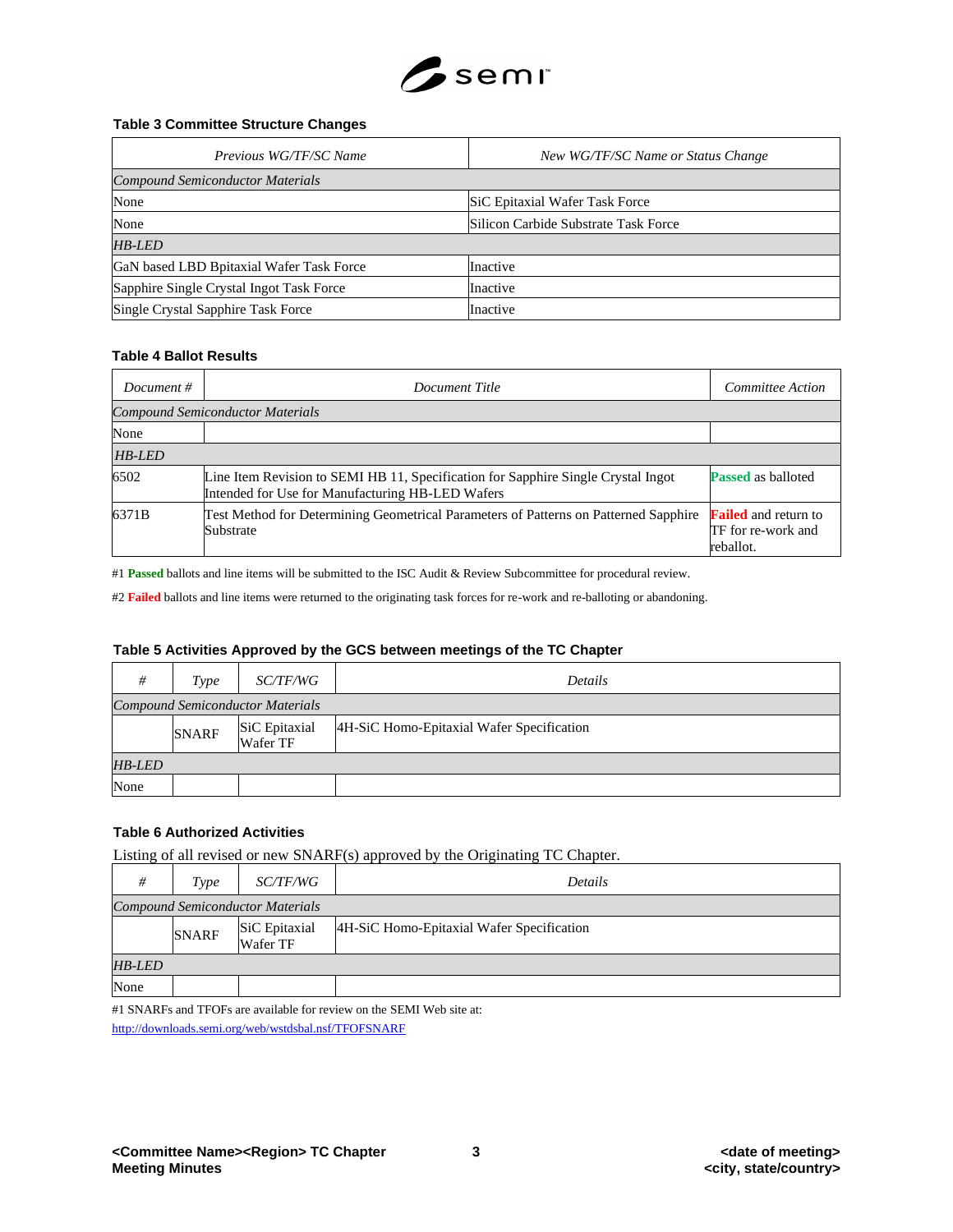

## **Table 3 Committee Structure Changes**

| Previous WG/TF/SC Name                   | New WG/TF/SC Name or Status Change   |
|------------------------------------------|--------------------------------------|
| <b>Compound Semiconductor Materials</b>  |                                      |
| None                                     | SiC Epitaxial Wafer Task Force       |
| None                                     | Silicon Carbide Substrate Task Force |
| <b>HB-LED</b>                            |                                      |
| GaN based LBD Bpitaxial Wafer Task Force | Inactive                             |
| Sapphire Single Crystal Ingot Task Force | Inactive                             |
| Single Crystal Sapphire Task Force       | Inactive                             |

#### **Table 4 Ballot Results**

| Document $#$  | Committee Action<br>Document Title                                                                                                    |                                                                |  |  |  |
|---------------|---------------------------------------------------------------------------------------------------------------------------------------|----------------------------------------------------------------|--|--|--|
|               | <b>Compound Semiconductor Materials</b>                                                                                               |                                                                |  |  |  |
| None          |                                                                                                                                       |                                                                |  |  |  |
| <b>HB-LED</b> |                                                                                                                                       |                                                                |  |  |  |
| 6502          | Line Item Revision to SEMI HB 11, Specification for Sapphire Single Crystal Ingot<br>Intended for Use for Manufacturing HB-LED Wafers | <b>Passed</b> as balloted                                      |  |  |  |
| 6371B         | Test Method for Determining Geometrical Parameters of Patterns on Patterned Sapphire<br>Substrate                                     | <b>Failed</b> and return to<br>TF for re-work and<br>reballot. |  |  |  |

#1 **Passed** ballots and line items will be submitted to the ISC Audit & Review Subcommittee for procedural review.

#2 **Failed** ballots and line items were returned to the originating task forces for re-work and re-balloting or abandoning.

# **Table 5 Activities Approved by the GCS between meetings of the TC Chapter**

| #             | Type                                    | <i>SC/TF/WG</i>           | Details                                   |  |
|---------------|-----------------------------------------|---------------------------|-------------------------------------------|--|
|               | <b>Compound Semiconductor Materials</b> |                           |                                           |  |
|               | <b>SNARF</b>                            | SiC Epitaxial<br>Wafer TF | 4H-SiC Homo-Epitaxial Wafer Specification |  |
| <b>HB-LED</b> |                                         |                           |                                           |  |
| None          |                                         |                           |                                           |  |

# **Table 6 Authorized Activities**

Listing of all revised or new SNARF(s) approved by the Originating TC Chapter.

| #             | Type                                    | <i>SC/TF/WG</i>           | Details                                   |  |
|---------------|-----------------------------------------|---------------------------|-------------------------------------------|--|
|               | <b>Compound Semiconductor Materials</b> |                           |                                           |  |
|               | <b>SNARF</b>                            | SiC Epitaxial<br>Wafer TF | 4H-SiC Homo-Epitaxial Wafer Specification |  |
| <b>HB-LED</b> |                                         |                           |                                           |  |
| None          |                                         |                           |                                           |  |

#1 SNARFs and TFOFs are available for review on the SEMI Web site at: <http://downloads.semi.org/web/wstdsbal.nsf/TFOFSNARF>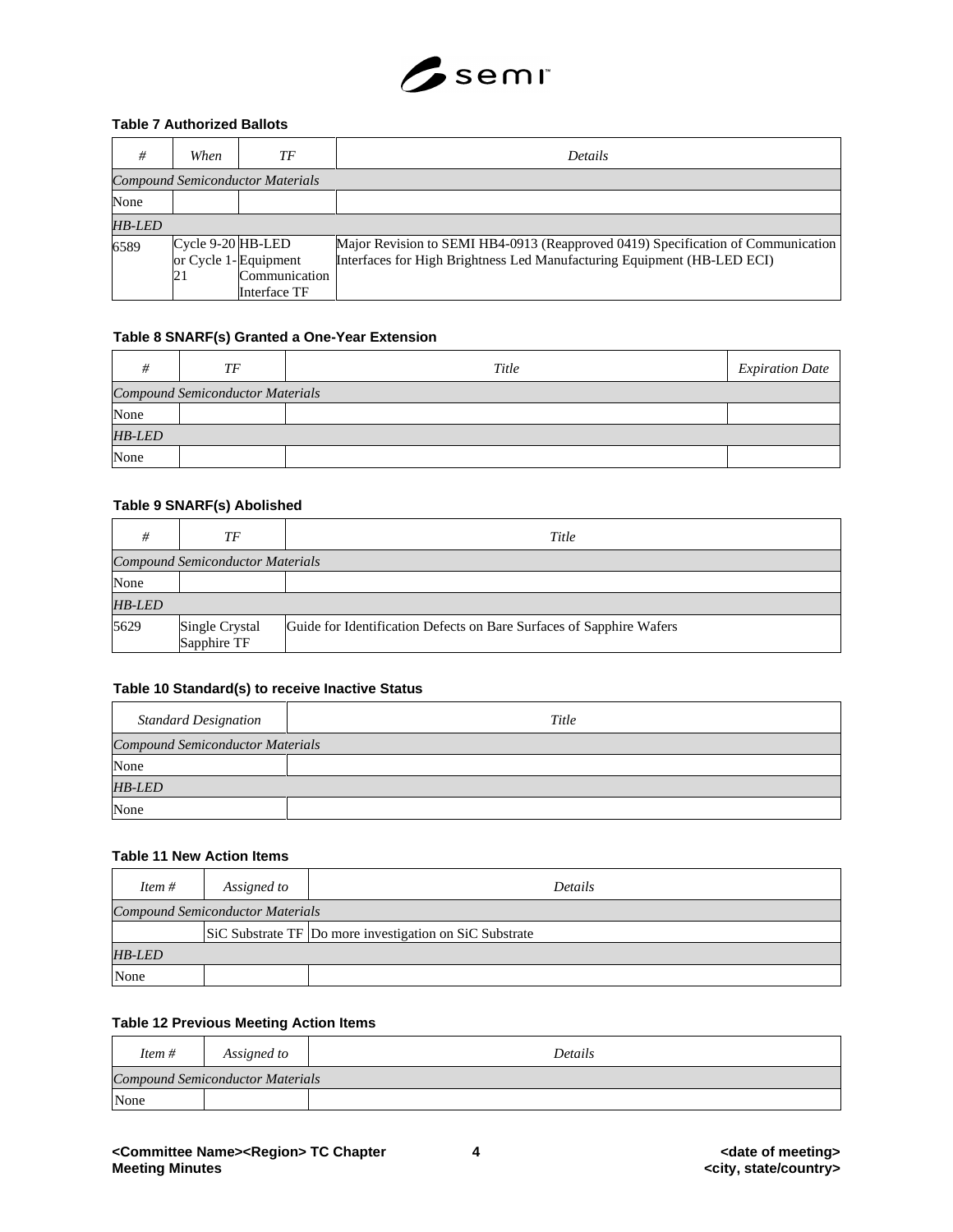

### **Table 7 Authorized Ballots**

| #                                       | When                    | ТF                                                    | <b>Details</b>                                                                                                                                              |
|-----------------------------------------|-------------------------|-------------------------------------------------------|-------------------------------------------------------------------------------------------------------------------------------------------------------------|
| <b>Compound Semiconductor Materials</b> |                         |                                                       |                                                                                                                                                             |
| None                                    |                         |                                                       |                                                                                                                                                             |
| <b>HB-LED</b>                           |                         |                                                       |                                                                                                                                                             |
| 6589                                    | Cycle 9-20 HB-LED<br>21 | or Cycle 1-Equipment<br>Communication<br>Interface TF | Major Revision to SEMI HB4-0913 (Reapproved 0419) Specification of Communication<br>Interfaces for High Brightness Led Manufacturing Equipment (HB-LED ECI) |

## **Table 8 SNARF(s) Granted a One-Year Extension**

| #      | TF                                      | Title | <b>Expiration Date</b> |
|--------|-----------------------------------------|-------|------------------------|
|        | <b>Compound Semiconductor Materials</b> |       |                        |
| None   |                                         |       |                        |
| HB-LED |                                         |       |                        |
| None   |                                         |       |                        |

# **Table 9 SNARF(s) Abolished**

|               | ТF                                      | Title                                                                |  |  |
|---------------|-----------------------------------------|----------------------------------------------------------------------|--|--|
|               | <b>Compound Semiconductor Materials</b> |                                                                      |  |  |
| None          |                                         |                                                                      |  |  |
| <b>HB-LED</b> |                                         |                                                                      |  |  |
| 5629          | Single Crystal<br>Sapphire TF           | Guide for Identification Defects on Bare Surfaces of Sapphire Wafers |  |  |

#### **Table 10 Standard(s) to receive Inactive Status**

| <b>Standard Designation</b>             | Title |  |
|-----------------------------------------|-------|--|
| <b>Compound Semiconductor Materials</b> |       |  |
| None                                    |       |  |
| <b>HB-LED</b>                           |       |  |
| None                                    |       |  |

# **Table 11 New Action Items**

| Item $#$      | Assigned to                             | <b>Details</b>                                          |  |
|---------------|-----------------------------------------|---------------------------------------------------------|--|
|               | <b>Compound Semiconductor Materials</b> |                                                         |  |
|               |                                         | SiC Substrate TF Do more investigation on SiC Substrate |  |
| <b>HB-LED</b> |                                         |                                                         |  |
| None          |                                         |                                                         |  |

# **Table 12 Previous Meeting Action Items**

| Item#                                   | Assigned to | Details |  |
|-----------------------------------------|-------------|---------|--|
| <b>Compound Semiconductor Materials</b> |             |         |  |
| None                                    |             |         |  |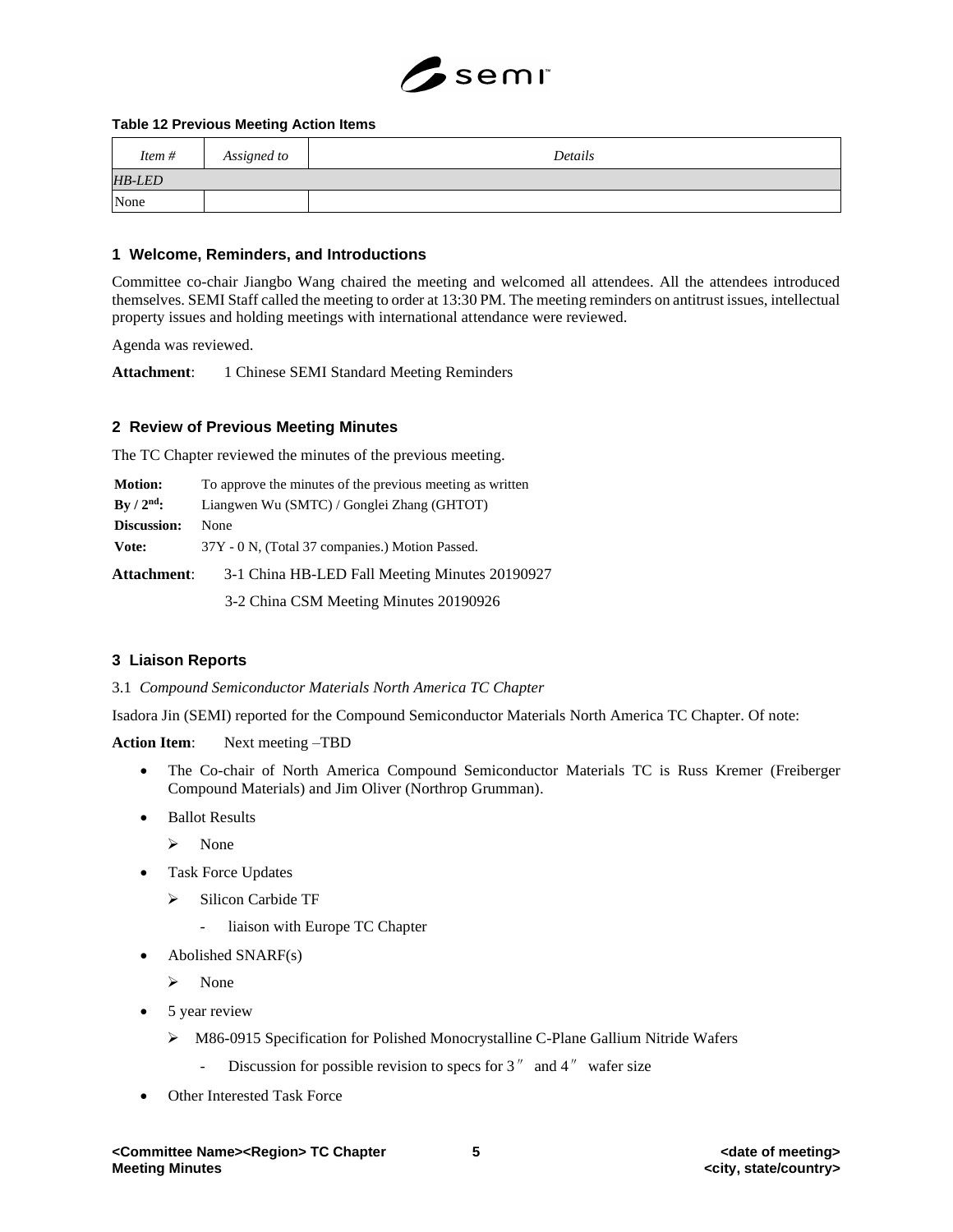

#### **Table 12 Previous Meeting Action Items**

| Item#         | Assigned to | Details |
|---------------|-------------|---------|
| <b>HB-LED</b> |             |         |
| None          |             |         |

#### **1 Welcome, Reminders, and Introductions**

Committee co-chair Jiangbo Wang chaired the meeting and welcomed all attendees. All the attendees introduced themselves. SEMI Staff called the meeting to order at 13:30 PM. The meeting reminders on antitrust issues, intellectual property issues and holding meetings with international attendance were reviewed.

Agenda was reviewed.

**Attachment**: 1 Chinese SEMI Standard Meeting Reminders

### **2 Review of Previous Meeting Minutes**

The TC Chapter reviewed the minutes of the previous meeting.

| <b>Motion:</b>     | To approve the minutes of the previous meeting as written |  |
|--------------------|-----------------------------------------------------------|--|
| $By / 2nd$ :       | Liangwen Wu (SMTC) / Gonglei Zhang (GHTOT)                |  |
| Discussion:        | <b>None</b>                                               |  |
| Vote:              | 37Y - 0 N, (Total 37 companies.) Motion Passed.           |  |
| <b>Attachment:</b> | 3-1 China HB-LED Fall Meeting Minutes 20190927            |  |

3-2 China CSM Meeting Minutes 20190926

#### **3 Liaison Reports**

3.1 *Compound Semiconductor Materials North America TC Chapter*

Isadora Jin (SEMI) reported for the Compound Semiconductor Materials North America TC Chapter. Of note:

**Action Item**: Next meeting –TBD

- The Co-chair of North America Compound Semiconductor Materials TC is Russ Kremer (Freiberger Compound Materials) and Jim Oliver (Northrop Grumman).
- Ballot Results
	- ➢ None
- Task Force Updates
	- ➢ Silicon Carbide TF
		- liaison with Europe TC Chapter
- Abolished SNARF(s)
	- ➢ None
- 5 year review
	- ➢ M86-0915 Specification for Polished Monocrystalline C-Plane Gallium Nitride Wafers
		- Discussion for possible revision to specs for  $3''$  and  $4''$  wafer size
- Other Interested Task Force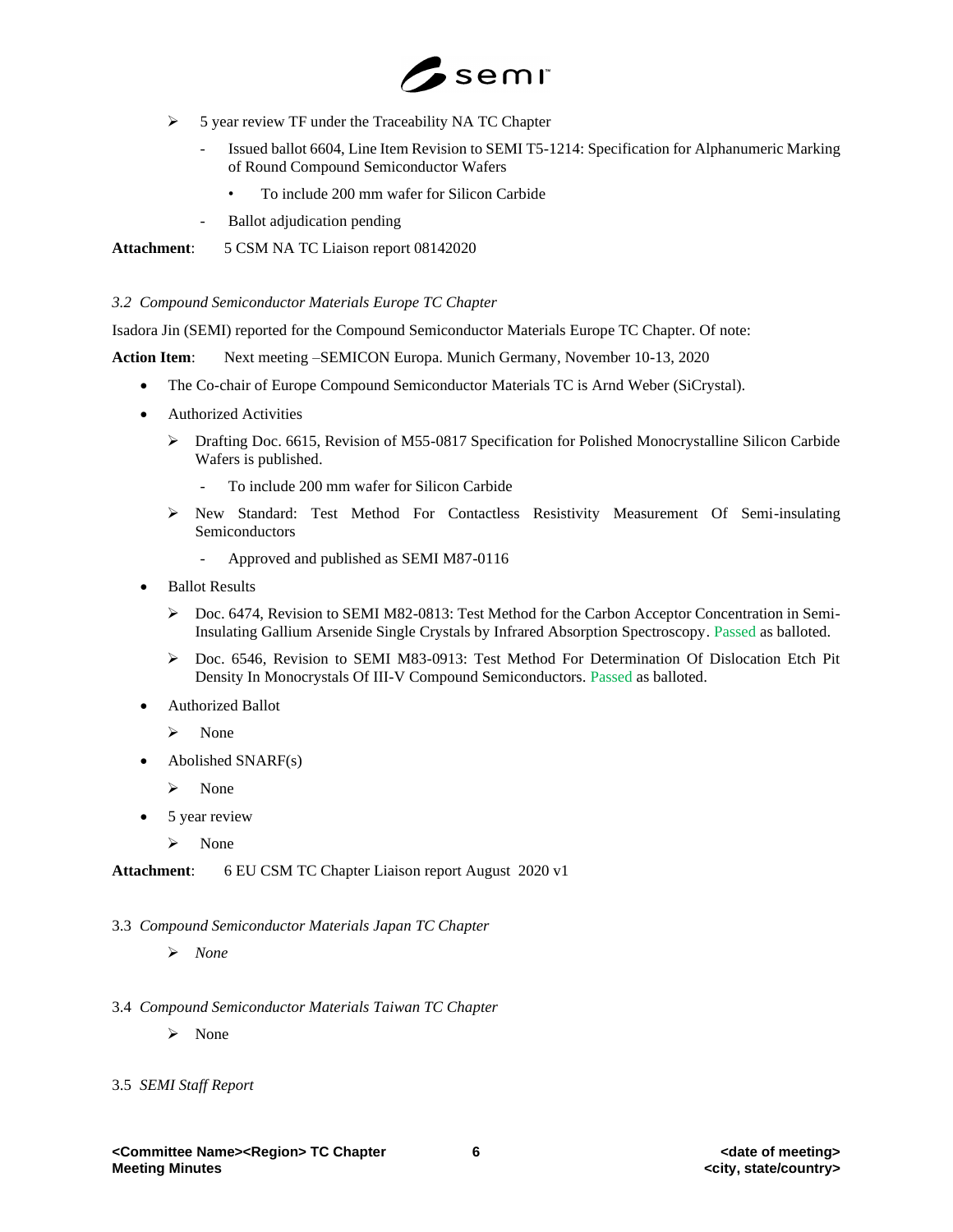

- ➢ 5 year review TF under the Traceability NA TC Chapter
	- Issued ballot 6604, Line Item Revision to SEMI T5-1214: Specification for Alphanumeric Marking of Round Compound Semiconductor Wafers
		- To include 200 mm wafer for Silicon Carbide
	- Ballot adjudication pending

**Attachment**: 5 CSM NA TC Liaison report 08142020

*3.2 Compound Semiconductor Materials Europe TC Chapter*

Isadora Jin (SEMI) reported for the Compound Semiconductor Materials Europe TC Chapter. Of note:

**Action Item**: Next meeting –SEMICON Europa. Munich Germany, November 10-13, 2020

- The Co-chair of Europe Compound Semiconductor Materials TC is Arnd Weber (SiCrystal).
- Authorized Activities
	- ➢ Drafting Doc. 6615, Revision of M55-0817 Specification for Polished Monocrystalline Silicon Carbide Wafers is published.
		- To include 200 mm wafer for Silicon Carbide
	- ➢ New Standard: Test Method For Contactless Resistivity Measurement Of Semi-insulating Semiconductors
		- Approved and published as SEMI M87-0116
- Ballot Results
	- ➢ Doc. 6474, Revision to SEMI M82-0813: Test Method for the Carbon Acceptor Concentration in Semi-Insulating Gallium Arsenide Single Crystals by Infrared Absorption Spectroscopy. Passed as balloted.
	- ➢ Doc. 6546, Revision to SEMI M83-0913: Test Method For Determination Of Dislocation Etch Pit Density In Monocrystals Of III-V Compound Semiconductors. Passed as balloted.
- Authorized Ballot
	- ➢ None
- Abolished SNARF(s)
	- ➢ None
- 5 year review
	- ➢ None

**Attachment**: 6 EU CSM TC Chapter Liaison report August 2020 v1

- 3.3 *Compound Semiconductor Materials Japan TC Chapter*
	- ➢ *None*
- 3.4 *Compound Semiconductor Materials Taiwan TC Chapter*
	- ➢ None
- 3.5 *SEMI Staff Report*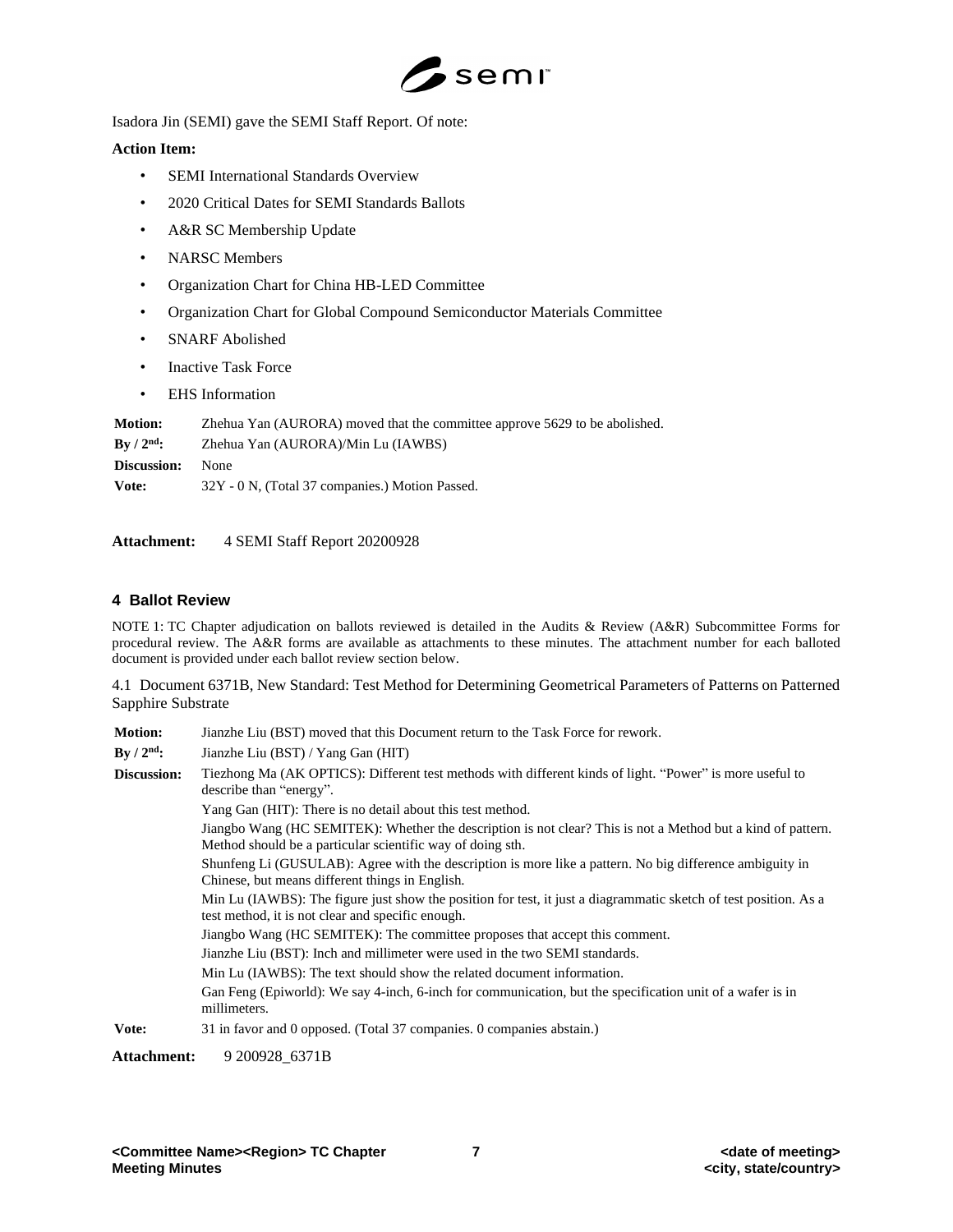

Isadora Jin (SEMI) gave the SEMI Staff Report. Of note:

## **Action Item:**

- SEMI International Standards Overview
- 2020 Critical Dates for SEMI Standards Ballots
- A&R SC Membership Update
- NARSC Members
- Organization Chart for China HB-LED Committee
- Organization Chart for Global Compound Semiconductor Materials Committee
- SNARF Abolished
- Inactive Task Force
- EHS Information

| <b>Motion:</b>                       | Zhehua Yan (AURORA) moved that the committee approve 5629 to be abolished. |  |
|--------------------------------------|----------------------------------------------------------------------------|--|
| $\rm\,By\,$ / $\rm 2^{nd}\mathbf{:}$ | Zhehua Yan (AURORA)/Min Lu (IAWBS)                                         |  |
| Discussion:                          | None                                                                       |  |
| Vote:                                | 32Y - 0 N, (Total 37 companies.) Motion Passed.                            |  |

**Attachment:** 4 SEMI Staff Report 20200928

# **4 Ballot Review**

NOTE 1: TC Chapter adjudication on ballots reviewed is detailed in the Audits & Review (A&R) Subcommittee Forms for procedural review. The A&R forms are available as attachments to these minutes. The attachment number for each balloted document is provided under each ballot review section below.

4.1 Document 6371B, New Standard: Test Method for Determining Geometrical Parameters of Patterns on Patterned Sapphire Substrate

| <b>Motion:</b>     | Jianzhe Liu (BST) moved that this Document return to the Task Force for rework.                                                                                            |  |
|--------------------|----------------------------------------------------------------------------------------------------------------------------------------------------------------------------|--|
| By $/ 2nd$ :       | Jianzhe Liu (BST) / Yang Gan (HIT)                                                                                                                                         |  |
| Discussion:        | Tiezhong Ma (AK OPTICS): Different test methods with different kinds of light. "Power" is more useful to<br>describe than "energy".                                        |  |
|                    | Yang Gan (HIT): There is no detail about this test method.                                                                                                                 |  |
|                    | Jiangbo Wang (HC SEMITEK): Whether the description is not clear? This is not a Method but a kind of pattern.<br>Method should be a particular scientific way of doing sth. |  |
|                    | Shunfeng Li (GUSULAB): Agree with the description is more like a pattern. No big difference ambiguity in<br>Chinese, but means different things in English.                |  |
|                    | Min Lu (IAWBS): The figure just show the position for test, it just a diagrammatic sketch of test position. As a<br>test method, it is not clear and specific enough.      |  |
|                    | Jiangbo Wang (HC SEMITEK): The committee proposes that accept this comment.                                                                                                |  |
|                    | Jianzhe Liu (BST): Inch and millimeter were used in the two SEMI standards.                                                                                                |  |
|                    | Min Lu (IAWBS): The text should show the related document information.                                                                                                     |  |
|                    | Gan Feng (Epiworld): We say 4-inch, 6-inch for communication, but the specification unit of a wafer is in<br>millimeters.                                                  |  |
| Vote:              | 31 in favor and 0 opposed. (Total 37 companies, 0 companies abstain.)                                                                                                      |  |
| <b>Attachment:</b> | 9 200928 6371B                                                                                                                                                             |  |

**<Committee Name><Region> TC Chapter 7 <date of meeting>**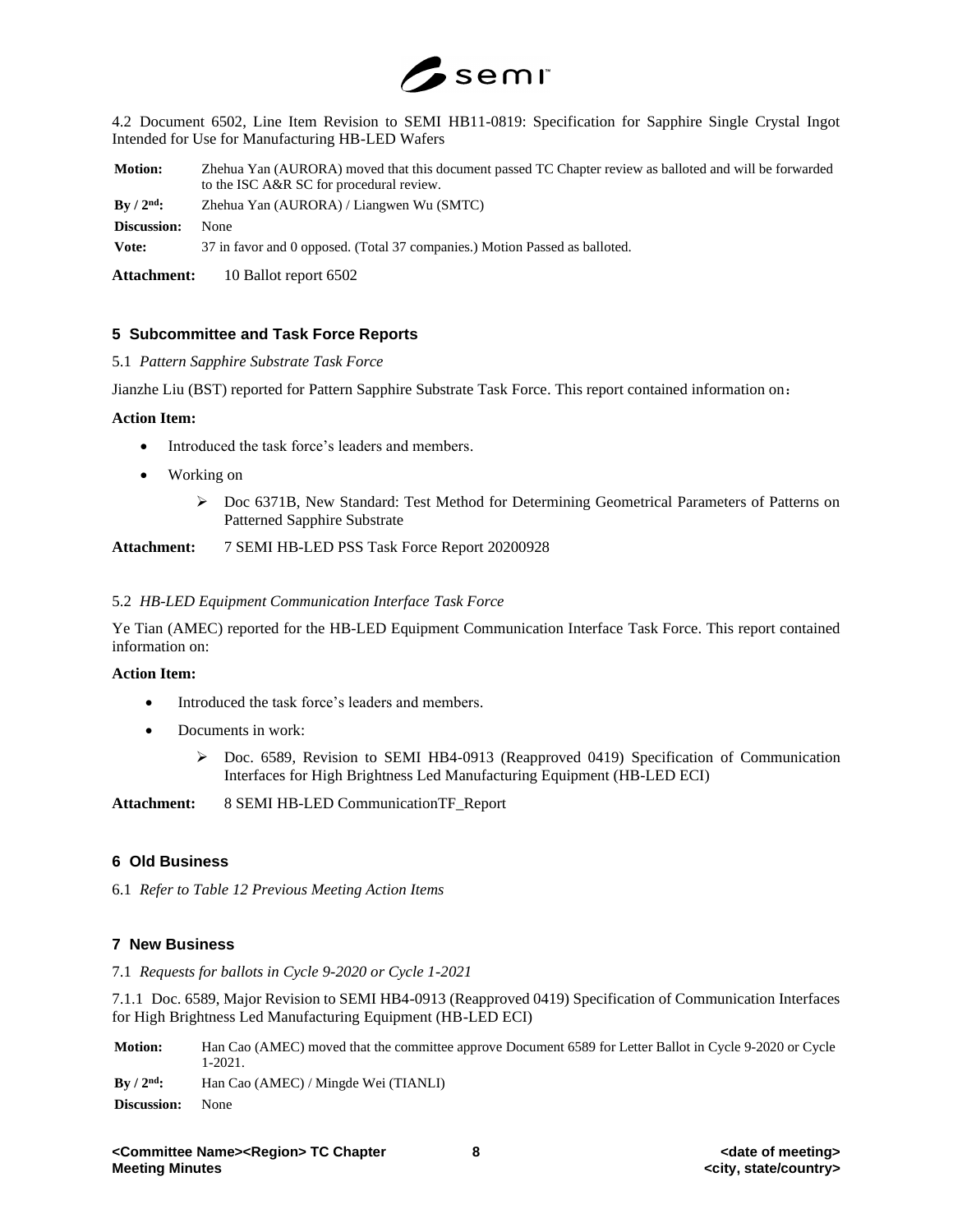

4.2 Document 6502, Line Item Revision to SEMI HB11-0819: Specification for Sapphire Single Crystal Ingot Intended for Use for Manufacturing HB-LED Wafers

**Motion:** Zhehua Yan (AURORA) moved that this document passed TC Chapter review as balloted and will be forwarded to the ISC A&R SC for procedural review.

**By / 2nd:** Zhehua Yan (AURORA) / Liangwen Wu (SMTC)

**Discussion:** None

**Vote:** 37 in favor and 0 opposed. (Total 37 companies.) Motion Passed as balloted.

**Attachment:** 10 Ballot report 6502

### **5 Subcommittee and Task Force Reports**

5.1 *Pattern Sapphire Substrate Task Force*

Jianzhe Liu (BST) reported for Pattern Sapphire Substrate Task Force. This report contained information on:

#### **Action Item:**

- Introduced the task force's leaders and members.
- Working on
	- ➢ Doc 6371B, New Standard: Test Method for Determining Geometrical Parameters of Patterns on Patterned Sapphire Substrate

**Attachment:** 7 SEMI HB-LED PSS Task Force Report 20200928

#### 5.2 *HB-LED Equipment Communication Interface Task Force*

Ye Tian (AMEC) reported for the HB-LED Equipment Communication Interface Task Force. This report contained information on:

#### **Action Item:**

- Introduced the task force's leaders and members.
- Documents in work:
	- ➢ Doc. 6589, Revision to SEMI HB4-0913 (Reapproved 0419) Specification of Communication Interfaces for High Brightness Led Manufacturing Equipment (HB-LED ECI)

**Attachment:** 8 SEMI HB-LED CommunicationTF\_Report

## **6 Old Business**

6.1 *Refer to Table 12 Previous Meeting Action Items*

#### **7 New Business**

7.1 *Requests for ballots in Cycle 9-2020 or Cycle 1-2021*

7.1.1 Doc. 6589, Major Revision to SEMI HB4-0913 (Reapproved 0419) Specification of Communication Interfaces for High Brightness Led Manufacturing Equipment (HB-LED ECI)

**Motion:** Han Cao (AMEC) moved that the committee approve Document 6589 for Letter Ballot in Cycle 9-2020 or Cycle 1-2021.

**By / 2nd:** Han Cao (AMEC) / Mingde Wei (TIANLI) **Discussion:** None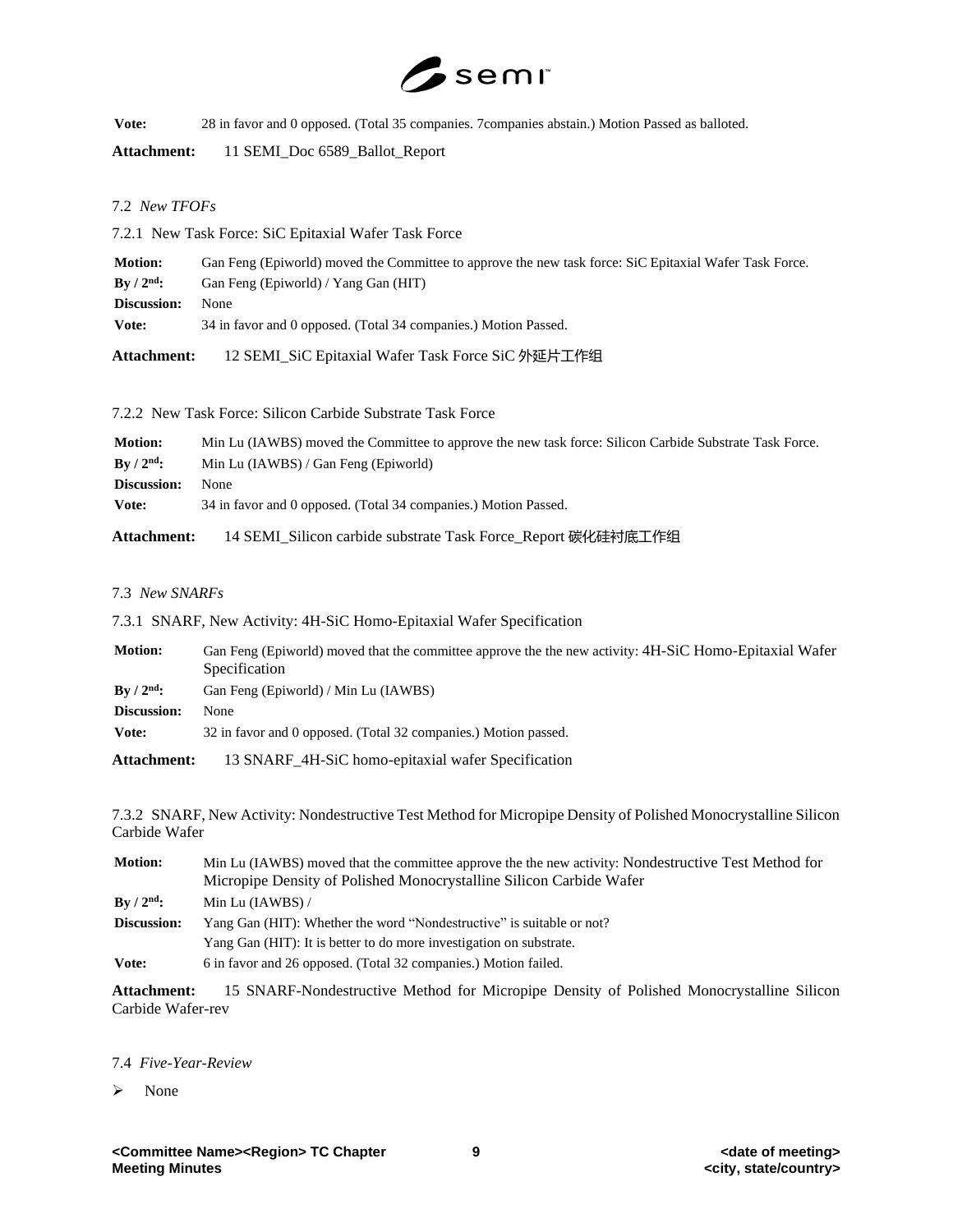

**Vote:** 28 in favor and 0 opposed. (Total 35 companies. 7companies abstain.) Motion Passed as balloted.

**Attachment:** 11 SEMI\_Doc 6589\_Ballot\_Report

# 7.2 *New TFOFs*

7.2.1 New Task Force: SiC Epitaxial Wafer Task Force

| <b>Motion:</b>                 | Gan Feng (Epiworld) moved the Committee to approve the new task force: SiC Epitaxial Wafer Task Force. |  |
|--------------------------------|--------------------------------------------------------------------------------------------------------|--|
| $\rm\,By\,$ / $\rm 2^{nd}\rm:$ | Gan Feng (Epiworld) / Yang Gan (HIT)                                                                   |  |
| Discussion:                    | <b>None</b>                                                                                            |  |
| Vote:                          | 34 in favor and 0 opposed. (Total 34 companies.) Motion Passed.                                        |  |
|                                |                                                                                                        |  |

**Attachment:** 12 SEMI\_SiC Epitaxial Wafer Task Force SiC 外延片工作组

7.2.2 New Task Force: Silicon Carbide Substrate Task Force

| <b>Motion:</b>              | Min Lu (IAWBS) moved the Committee to approve the new task force: Silicon Carbide Substrate Task Force. |
|-----------------------------|---------------------------------------------------------------------------------------------------------|
| $\rm{Bv}$ / $\rm{2^{nd}}$ : | Min Lu (IAWBS) / Gan Feng (Epiworld)                                                                    |
| Discussion:                 | None                                                                                                    |
| Vote:                       | 34 in favor and 0 opposed. (Total 34 companies.) Motion Passed.                                         |
| Attachment:                 | 14 SEMI_Silicon carbide substrate Task Force_Report 碳化硅衬底工作组                                            |

### 7.3 *New SNARFs*

7.3.1 SNARF, New Activity: 4H-SiC Homo-Epitaxial Wafer Specification

| <b>Motion:</b>              | Gan Feng (Epiworld) moved that the committee approve the the new activity: 4H-SiC Homo-Epitaxial Wafer<br>Specification |  |
|-----------------------------|-------------------------------------------------------------------------------------------------------------------------|--|
| $\rm{Bv}$ / $\rm{2^{nd}}$ : | Gan Feng (Epiworld) / Min Lu (IAWBS)                                                                                    |  |
| Discussion:                 | None                                                                                                                    |  |
| Vote:                       | 32 in favor and 0 opposed. (Total 32 companies.) Motion passed.                                                         |  |
| Attachment:                 | 13 SNARF_4H-SiC homo-epitaxial wafer Specification                                                                      |  |

7.3.2 SNARF, New Activity: Nondestructive Test Method for Micropipe Density of Polished Monocrystalline Silicon Carbide Wafer

| <b>Motion:</b>     | Min Lu (IAWBS) moved that the committee approve the the new activity: Nondestructive Test Method for |  |
|--------------------|------------------------------------------------------------------------------------------------------|--|
|                    | Micropipe Density of Polished Monocrystalline Silicon Carbide Wafer                                  |  |
| $\rm{By}/2^{nd}$ : | Min Lu $(IAWBS) /$                                                                                   |  |
| Discussion:        | Yang Gan (HIT): Whether the word "Nondestructive" is suitable or not?                                |  |
|                    | Yang Gan (HIT): It is better to do more investigation on substrate.                                  |  |
| Vote:              | 6 in favor and 26 opposed. (Total 32 companies.) Motion failed.                                      |  |

**Attachment:** 15 SNARF-Nondestructive Method for Micropipe Density of Polished Monocrystalline Silicon Carbide Wafer-rev

#### 7.4 *Five-Year-Review*

➢ None